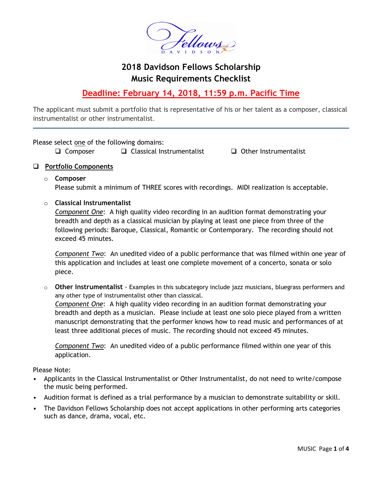

# **2018 Davidson Fellows Scholarship Music Requirements Checklist**

## **Deadline: February 14, 2018, 11:59 p.m. Pacific Time**

The applicant must submit a portfolio that is representative of his or her talent as a composer, classical instrumentalist or other instrumentalist.

Please select one of the following domains:

 $\Box$  Composer  $\Box$  Classical Instrumentalist  $\Box$  Other Instrumentalist

## **Portfolio Components**

o **Composer**

Please submit a minimum of THREE scores with recordings. MIDI realization is acceptable.

### o **Classical Instrumentalist**

*Component One*:A high quality video recording in an audition format demonstrating your breadth and depth as a classical musician by playing at least one piece from three of the following periods: Baroque, Classical, Romantic or Contemporary. The recording should not exceed 45 minutes.

*Component Two*: An unedited video of a public performance that was filmed within one year of this application and includes at least one complete movement of a concerto, sonata or solo piece.

o **Other Instrumentalist** - Examples in this subcategory include jazz musicians, bluegrass performers and any other type of instrumentalist other than classical.

*Component One*: A high quality video recording in an audition format demonstrating your breadth and depth as a musician. Please include at least one solo piece played from a written manuscript demonstrating that the performer knows how to read music and performances of at least three additional pieces of music. The recording should not exceed 45 minutes.

*Component Two*: An unedited video of a public performance filmed within one year of this application.

Please Note:

- Applicants in the Classical Instrumentalist or Other Instrumentalist, do not need to write/compose the music being performed.
- Audition format is defined as a trial performance by a musician to demonstrate suitability or skill.
- The Davidson Fellows Scholarship does not accept applications in other performing arts categories such as dance, drama, vocal, etc.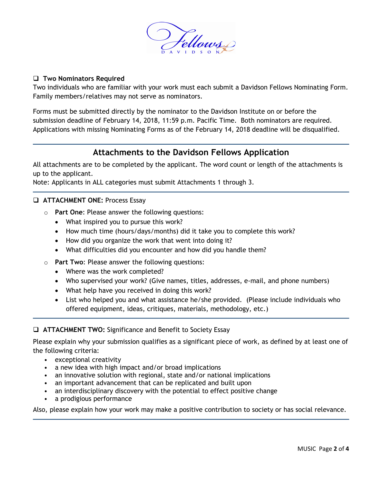

#### **Two Nominators Required**

Two individuals who are familiar with your work must each submit a Davidson Fellows Nominating Form. Family members/relatives may not serve as nominators.

Forms must be submitted directly by the nominator to the Davidson Institute on or before the submission deadline of February 14, 2018, 11:59 p.m. Pacific Time. Both nominators are required. Applications with missing Nominating Forms as of the February 14, 2018 deadline will be disqualified.

## **Attachments to the Davidson Fellows Application**

All attachments are to be completed by the applicant. The word count or length of the attachments is up to the applicant.

Note: Applicants in ALL categories must submit Attachments 1 through 3.

- **ATTACHMENT ONE: Process Essay** 
	- o **Part One**: Please answer the following questions:
		- What inspired you to pursue this work?
		- How much time (hours/days/months) did it take you to complete this work?
		- How did you organize the work that went into doing it?
		- What difficulties did you encounter and how did you handle them?
	- o **Part Two**: Please answer the following questions:
		- Where was the work completed?
		- Who supervised your work? (Give names, titles, addresses, e-mail, and phone numbers)
		- What help have you received in doing this work?
		- List who helped you and what assistance he/she provided. (Please include individuals who offered equipment, ideas, critiques, materials, methodology, etc.)

#### **ATTACHMENT TWO:** Significance and Benefit to Society Essay

Please explain why your submission qualifies as a significant piece of work, as defined by at least one of the following criteria:

- exceptional creativity
- a new idea with high impact and/or broad implications
- an innovative solution with regional, state and/or national implications
- an important advancement that can be replicated and built upon
- an interdisciplinary discovery with the potential to effect positive change
- a prodigious performance

Also, please explain how your work may make a positive contribution to society or has social relevance.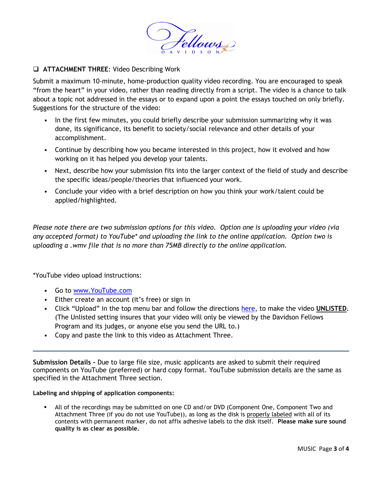

### **ATTACHMENT THREE**: Video Describing Work

Submit a maximum 10-minute, home-production quality video recording. You are encouraged to speak "from the heart" in your video, rather than reading directly from a script. The video is a chance to talk about a topic not addressed in the essays or to expand upon a point the essays touched on only briefly. Suggestions for the structure of the video:

- In the first few minutes, you could briefly describe your submission summarizing why it was done, its significance, its benefit to society/social relevance and other details of your accomplishment.
- Continue by describing how you became interested in this project, how it evolved and how working on it has helped you develop your talents.
- Next, describe how your submission fits into the larger context of the field of study and describe the specific ideas/people/theories that influenced your work.
- Conclude your video with a brief description on how you think your work/talent could be applied/highlighted.

*Please note there are two submission options for this video. Option one is uploading your video (via any accepted format) to YouTube\* and uploading the link to the online application. Option two is uploading a .wmv file that is no more than 75MB directly to the online application.* 

\*YouTube video upload instructions:

- Go to [www.YouTube.com](http://www.youtube.com/)
- Either create an account (it's free) or sign in
- Click "Upload" in the top menu bar and follow the directions [here,](http://www.google.com/support/youtube/bin/answer.py?answer=181547) to make the video **UNLISTED**. (The Unlisted setting insures that your video will only be viewed by the Davidson Fellows Program and its judges, or anyone else you send the URL to.)
- Copy and paste the link to this video as Attachment Three.

**Submission Details -** Due to large file size, music applicants are asked to submit their required components on YouTube (preferred) or hard copy format. YouTube submission details are the same as specified in the Attachment Three section.

#### **Labeling and shipping of application components:**

 All of the recordings may be submitted on one CD and/or DVD (Component One, Component Two and Attachment Three (if you do not use YouTube)), as long as the disk is properly labeled with all of its contents with permanent marker, do not affix adhesive labels to the disk itself. **Please make sure sound quality is as clear as possible.**